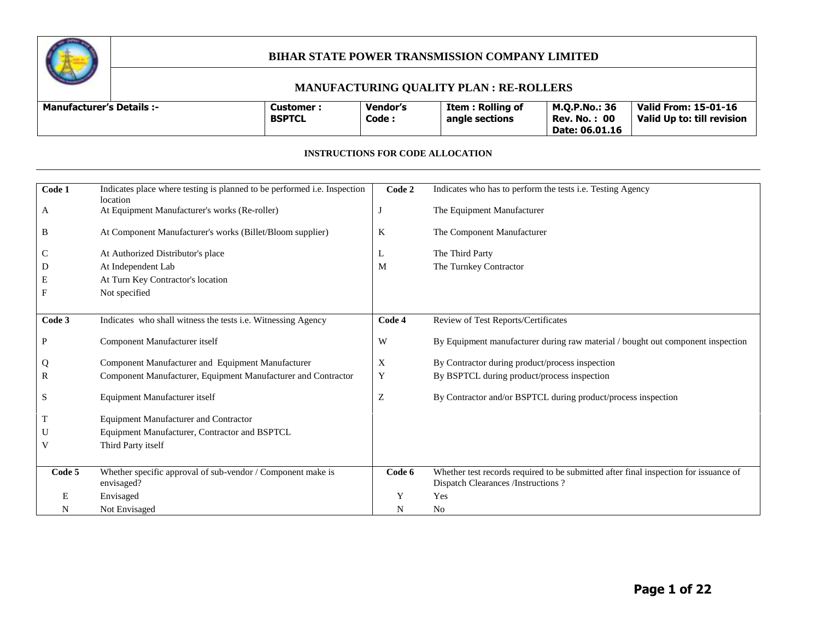

#### **MANUFACTURING QUALITY PLAN : RE-ROLLERS**

| <b>Manufacturer's Details :-</b> | Customer<br><b>BSPTCL</b> | Vendor's<br>Code : | Item : Rolling of<br>angle sections | <b>M.O.P.No.: 36</b><br>-00<br>Rev. No.<br>Date: 06.01.16 | Valid From: 15-01-16<br>Valid Up to: till revision |
|----------------------------------|---------------------------|--------------------|-------------------------------------|-----------------------------------------------------------|----------------------------------------------------|
|----------------------------------|---------------------------|--------------------|-------------------------------------|-----------------------------------------------------------|----------------------------------------------------|

#### **INSTRUCTIONS FOR CODE ALLOCATION**

| Code 1 | Indicates place where testing is planned to be performed i.e. Inspection  | Code 2 | Indicates who has to perform the tests i.e. Testing Agency                                                                  |
|--------|---------------------------------------------------------------------------|--------|-----------------------------------------------------------------------------------------------------------------------------|
| A      | location<br>At Equipment Manufacturer's works (Re-roller)                 |        | The Equipment Manufacturer                                                                                                  |
| B      | At Component Manufacturer's works (Billet/Bloom supplier)                 | K      | The Component Manufacturer                                                                                                  |
| С      | At Authorized Distributor's place                                         | L      | The Third Party                                                                                                             |
| D      | At Independent Lab                                                        | M      | The Turnkey Contractor                                                                                                      |
| Е      | At Turn Key Contractor's location                                         |        |                                                                                                                             |
| F      | Not specified                                                             |        |                                                                                                                             |
|        |                                                                           |        |                                                                                                                             |
| Code 3 | Indicates who shall witness the tests i.e. Witnessing Agency              | Code 4 | Review of Test Reports/Certificates                                                                                         |
| P      | Component Manufacturer itself                                             | W      | By Equipment manufacturer during raw material / bought out component inspection                                             |
| Q      | Component Manufacturer and Equipment Manufacturer                         | X      | By Contractor during product/process inspection                                                                             |
| R      | Component Manufacturer, Equipment Manufacturer and Contractor             | Y      | By BSPTCL during product/process inspection                                                                                 |
| S      | Equipment Manufacturer itself                                             | Z      | By Contractor and/or BSPTCL during product/process inspection                                                               |
| T      | <b>Equipment Manufacturer and Contractor</b>                              |        |                                                                                                                             |
| U      | Equipment Manufacturer, Contractor and BSPTCL                             |        |                                                                                                                             |
| V      | Third Party itself                                                        |        |                                                                                                                             |
|        |                                                                           |        |                                                                                                                             |
| Code 5 | Whether specific approval of sub-vendor / Component make is<br>envisaged? | Code 6 | Whether test records required to be submitted after final inspection for issuance of<br>Dispatch Clearances /Instructions ? |
| E      | Envisaged                                                                 | Y      | Yes                                                                                                                         |
| N      | Not Envisaged                                                             | N      | N <sub>0</sub>                                                                                                              |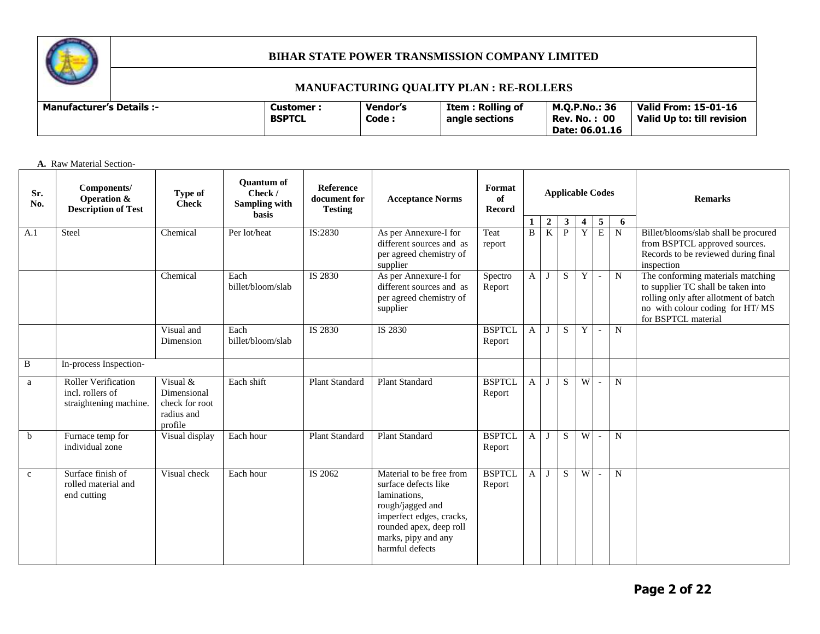

## **MANUFACTURING QUALITY PLAN : RE-ROLLERS**

| <b>Manufacturer's Details :-</b> | <b>Customer :</b><br><b>BSPTCL</b> | Vendor's<br>Code | Item : Rolling of<br>angle sections | <b>M.O.P.No.: 36</b><br><b>Rev. No.: 00</b><br>Date: 06.01.16 | Valid From: 15-01-16<br>Valid Up to: till revision |
|----------------------------------|------------------------------------|------------------|-------------------------------------|---------------------------------------------------------------|----------------------------------------------------|
|----------------------------------|------------------------------------|------------------|-------------------------------------|---------------------------------------------------------------|----------------------------------------------------|

**A.** Raw Material Section-

| Sr.<br>No.  | Components/<br>Operation &<br><b>Description of Test</b>                 | Type of<br><b>Check</b>                                            | <b>Ouantum of</b><br>Check /<br><b>Sampling with</b><br>basis | <b>Reference</b><br>document for<br><b>Testing</b> | <b>Acceptance Norms</b>                                                                                                                                                               | Format<br>of<br>Record  | <b>Applicable Codes</b><br>$\overline{2}$<br>$\mathbf{3}$<br>5<br>$\overline{4}$<br>6 |                |              |             |                          |                | <b>Remarks</b>                                                                                                                                                             |
|-------------|--------------------------------------------------------------------------|--------------------------------------------------------------------|---------------------------------------------------------------|----------------------------------------------------|---------------------------------------------------------------------------------------------------------------------------------------------------------------------------------------|-------------------------|---------------------------------------------------------------------------------------|----------------|--------------|-------------|--------------------------|----------------|----------------------------------------------------------------------------------------------------------------------------------------------------------------------------|
| A.1         | Steel                                                                    | Chemical                                                           | Per lot/heat                                                  | IS:2830                                            | As per Annexure-I for<br>different sources and as<br>per agreed chemistry of<br>supplier                                                                                              | Teat<br>report          | $\, {\bf B}$                                                                          | $\overline{K}$ | $\mathbf{P}$ | Y           | E                        | $\overline{N}$ | Billet/blooms/slab shall be procured<br>from BSPTCL approved sources.<br>Records to be reviewed during final<br>inspection                                                 |
|             |                                                                          | Chemical                                                           | Each<br>billet/bloom/slab                                     | IS 2830                                            | As per Annexure-I for<br>different sources and as<br>per agreed chemistry of<br>supplier                                                                                              | Spectro<br>Report       | A                                                                                     | $\mathbf{J}$   | S.           | $\mathbf Y$ | $\sim$                   | N              | The conforming materials matching<br>to supplier TC shall be taken into<br>rolling only after allotment of batch<br>no with colour coding for HT/MS<br>for BSPTCL material |
|             |                                                                          | Visual and<br>Dimension                                            | Each<br>billet/bloom/slab                                     | IS 2830                                            | IS 2830                                                                                                                                                                               | <b>BSPTCL</b><br>Report | $\mathbf{A}$                                                                          | J              | S            | Y           | $\overline{\phantom{a}}$ | ${\bf N}$      |                                                                                                                                                                            |
| B           | In-process Inspection-                                                   |                                                                    |                                                               |                                                    |                                                                                                                                                                                       |                         |                                                                                       |                |              |             |                          |                |                                                                                                                                                                            |
| a           | <b>Roller Verification</b><br>incl. rollers of<br>straightening machine. | Visual &<br>Dimensional<br>check for root<br>radius and<br>profile | Each shift                                                    | <b>Plant Standard</b>                              | <b>Plant Standard</b>                                                                                                                                                                 | <b>BSPTCL</b><br>Report | A                                                                                     | J              | S            | W           | $\overline{\phantom{a}}$ | $\mathbf N$    |                                                                                                                                                                            |
| b           | Furnace temp for<br>individual zone                                      | Visual display                                                     | Each hour                                                     | <b>Plant Standard</b>                              | <b>Plant Standard</b>                                                                                                                                                                 | <b>BSPTCL</b><br>Report | A                                                                                     | J              | S.           | W           | $\blacksquare$           | $\mathbf N$    |                                                                                                                                                                            |
| $\mathbf c$ | Surface finish of<br>rolled material and<br>end cutting                  | Visual check                                                       | Each hour                                                     | IS 2062                                            | Material to be free from<br>surface defects like<br>laminations,<br>rough/jagged and<br>imperfect edges, cracks,<br>rounded apex, deep roll<br>marks, pipy and any<br>harmful defects | <b>BSPTCL</b><br>Report | A                                                                                     | $\mathbf{I}$   | S.           | W           | $\overline{\phantom{a}}$ | N              |                                                                                                                                                                            |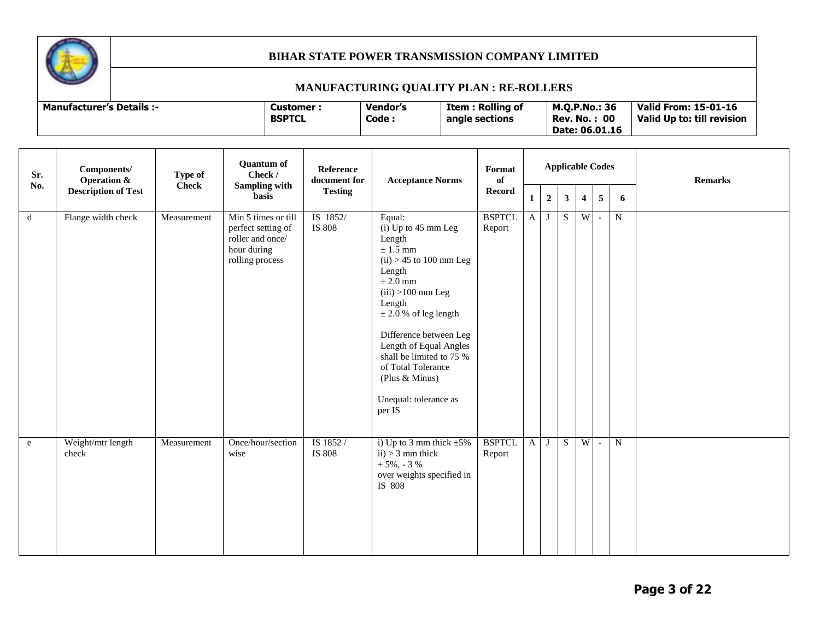

## **MANUFACTURING QUALITY PLAN : RE-ROLLERS**

| Sr.<br>No.  | Components/<br><b>Operation &amp;</b> | Type of<br><b>Check</b> | <b>Quantum of</b><br>Check /                                                                    | Reference<br>document for | <b>Acceptance Norms</b>                                                                                                                                                                                                                                                                                                                    | Format<br>of            |              |                |                | <b>Applicable Codes</b> |                |           | <b>Remarks</b> |
|-------------|---------------------------------------|-------------------------|-------------------------------------------------------------------------------------------------|---------------------------|--------------------------------------------------------------------------------------------------------------------------------------------------------------------------------------------------------------------------------------------------------------------------------------------------------------------------------------------|-------------------------|--------------|----------------|----------------|-------------------------|----------------|-----------|----------------|
|             | <b>Description of Test</b>            |                         | <b>Sampling with</b><br>basis                                                                   | <b>Testing</b>            |                                                                                                                                                                                                                                                                                                                                            | <b>Record</b>           | 1            | $\overline{2}$ | $\mathbf{3}$   | $\overline{4}$          | $\overline{5}$ | 6         |                |
| $\mathbf d$ | Flange width check                    | Measurement             | Min 5 times or till<br>perfect setting of<br>roller and once/<br>hour during<br>rolling process | IS 1852/<br><b>IS 808</b> | Equal:<br>$(i)$ Up to 45 mm Leg<br>Length<br>$\pm$ 1.5 mm<br>$(ii) > 45$ to 100 mm Leg<br>Length<br>$\pm 2.0$ mm<br>$(iii) > 100$ mm Leg<br>Length<br>$\pm$ 2.0 % of leg length<br>Difference between Leg<br>Length of Equal Angles<br>shall be limited to 75 %<br>of Total Tolerance<br>(Plus & Minus)<br>Unequal: tolerance as<br>per IS | <b>BSPTCL</b><br>Report | $\mathbf{A}$ | J              | S              | W                       | $\sim$         | ${\bf N}$ |                |
| e           | Weight/mtr length<br>check            | Measurement             | Once/hour/section<br>wise                                                                       | IS 1852 /<br>IS 808       | i) Up to 3 mm thick $\pm 5\%$<br>$ii) > 3$ mm thick<br>$+5\%$ , - 3 %<br>over weights specified in<br>IS 808                                                                                                                                                                                                                               | <b>BSPTCL</b><br>Report | $\mathbf{A}$ | J              | $\overline{S}$ | W                       | $\sim$         | ${\bf N}$ |                |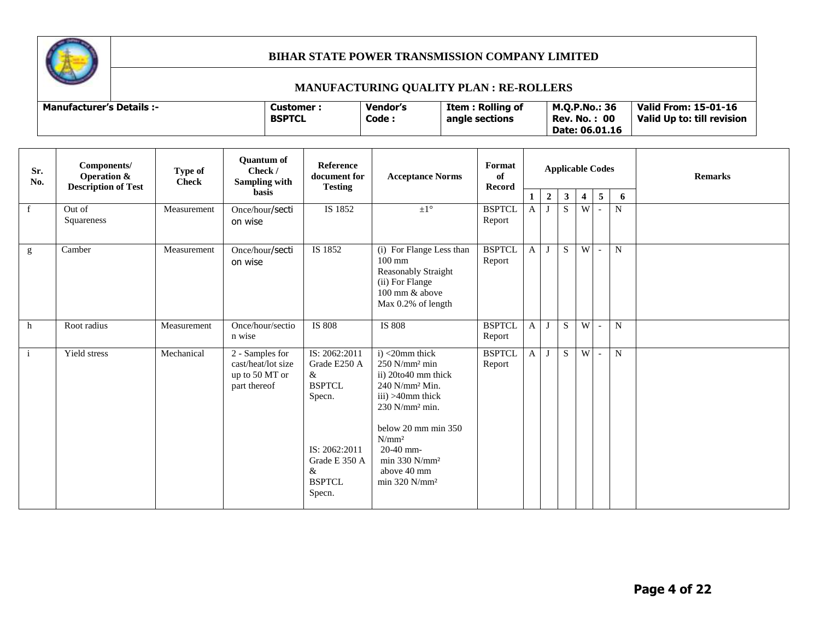

# **MANUFACTURING QUALITY PLAN : RE-ROLLERS**

| <b>Manufacturer's Details :-</b> | Customer :<br><b>BSPTCL</b> | <b>Vendor's</b><br>Code | Item : Rolling of<br>angle sections | M.O.P.No.: 36<br>-00<br>Rev. No. .<br>Date: 06.01.16 | Valid From: 15-01-16<br>Valid Up to: till revision |
|----------------------------------|-----------------------------|-------------------------|-------------------------------------|------------------------------------------------------|----------------------------------------------------|
|----------------------------------|-----------------------------|-------------------------|-------------------------------------|------------------------------------------------------|----------------------------------------------------|

| Sr.<br>No.   | Components/<br><b>Operation &amp;</b><br><b>Description of Test</b> | Type of<br><b>Check</b> | <b>Quantum of</b><br>Check /<br>Sampling with                           | <b>Reference</b><br>document for                                                                                                   | Format<br><b>Acceptance Norms</b><br><b>Testing</b>                                                                                                                                                                                                                           |                         |                   |                | <b>Applicable Codes</b> |                         |                          |             | <b>Remarks</b> |
|--------------|---------------------------------------------------------------------|-------------------------|-------------------------------------------------------------------------|------------------------------------------------------------------------------------------------------------------------------------|-------------------------------------------------------------------------------------------------------------------------------------------------------------------------------------------------------------------------------------------------------------------------------|-------------------------|-------------------|----------------|-------------------------|-------------------------|--------------------------|-------------|----------------|
|              |                                                                     |                         | <b>basis</b>                                                            |                                                                                                                                    |                                                                                                                                                                                                                                                                               | Record                  | $\mathbf{1}$      | $\overline{2}$ | $\mathbf{3}$            | $\overline{\mathbf{4}}$ | $\overline{5}$           | 6           |                |
| $\mathbf{f}$ | Out of<br>Squareness                                                | Measurement             | Once/hour/secti<br>on wise                                              | IS 1852                                                                                                                            | $\pm 1^{\circ}$                                                                                                                                                                                                                                                               | <b>BSPTCL</b><br>Report | $\mathbf{A}$<br>J |                | S                       | W                       |                          | ${\bf N}$   |                |
| g            | Camber                                                              | Measurement             | Once/hour/secti<br>on wise                                              | IS 1852                                                                                                                            | (i) For Flange Less than<br>$100 \text{ mm}$<br>Reasonably Straight<br>(ii) For Flange<br>100 mm & above<br>Max 0.2% of length                                                                                                                                                | <b>BSPTCL</b><br>Report | $\mathbf{A}$      | J              | S.                      | W                       | $\overline{\phantom{a}}$ | $\mathbf N$ |                |
| h            | Root radius                                                         | Measurement             | Once/hour/sectio<br>n wise                                              | <b>IS 808</b>                                                                                                                      | IS 808                                                                                                                                                                                                                                                                        | <b>BSPTCL</b><br>Report | $\mathbf{A}$      | J              | S.                      | W                       | $\sim$                   | N           |                |
| $\mathbf{i}$ | Yield stress                                                        | Mechanical              | 2 - Samples for<br>cast/heat/lot size<br>up to 50 MT or<br>part thereof | IS: 2062:2011<br>Grade E250 A<br>$\&$<br><b>BSPTCL</b><br>Specn.<br>IS: 2062:2011<br>Grade E 350 A<br>&<br><b>BSPTCL</b><br>Specn. | $i$ ) <20mm thick<br>$250$ N/mm <sup>2</sup> min<br>ii) 20to40 mm thick<br>$240$ N/mm <sup>2</sup> Min.<br>iii) >40mm thick<br>230 N/mm <sup>2</sup> min.<br>below 20 mm min 350<br>N/mm <sup>2</sup><br>$20-40$ mm-<br>$min 330 N/mm^2$<br>above 40 mm<br>$min$ 320 N/ $mm2$ | <b>BSPTCL</b><br>Report | $\mathbf{A}$      | J              | S.                      | W                       | $\sim$                   | ${\bf N}$   |                |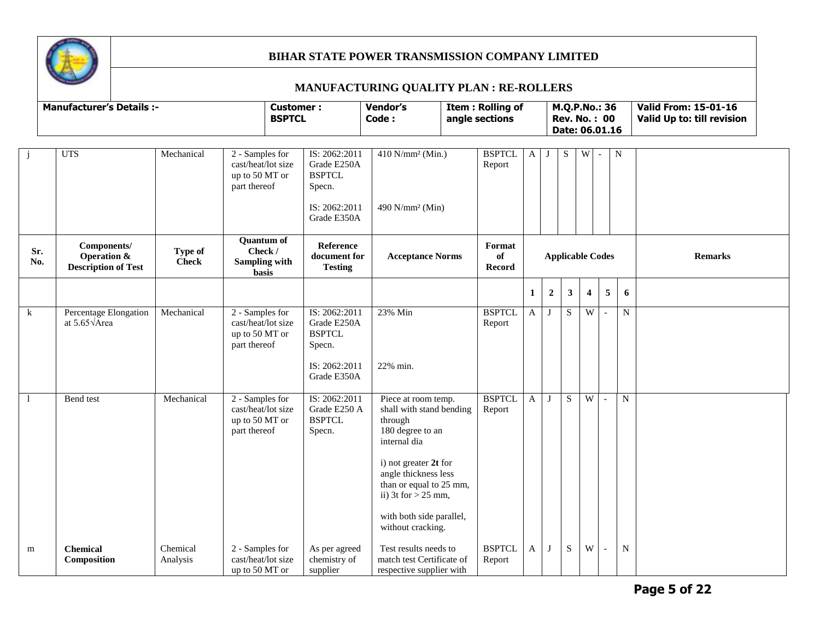

## **MANUFACTURING QUALITY PLAN : RE-ROLLERS**

|                | <b>Manufacturer's Details :-</b>                         |                                |                                                                         | <b>Customer:</b><br><b>BSPTCL</b>                                                       | Vendor's<br>Code:                                                                                                                                                                                                                                    | <b>Item: Rolling of</b><br>angle sections |              |                  | M.Q.P.No.: 36<br><b>Rev. No.: 00</b><br>Date: 06.01.16 |                         |                |             | <b>Valid From: 15-01-16</b><br>Valid Up to: till revision |  |
|----------------|----------------------------------------------------------|--------------------------------|-------------------------------------------------------------------------|-----------------------------------------------------------------------------------------|------------------------------------------------------------------------------------------------------------------------------------------------------------------------------------------------------------------------------------------------------|-------------------------------------------|--------------|------------------|--------------------------------------------------------|-------------------------|----------------|-------------|-----------------------------------------------------------|--|
| $\mathbf{j}$   | <b>UTS</b>                                               | Mechanical                     | 2 - Samples for<br>cast/heat/lot size<br>up to 50 MT or<br>part thereof | IS: 2062:2011<br>Grade E250A<br><b>BSPTCL</b><br>Specn.<br>IS: 2062:2011<br>Grade E350A | 410 N/mm <sup>2</sup> (Min.)<br>490 N/mm <sup>2</sup> (Min)                                                                                                                                                                                          | <b>BSPTCL</b><br>Report                   | $A \mid J$   |                  | ${\bf S}$                                              | $\overline{\text{W}}$   |                | ${\bf N}$   |                                                           |  |
| Sr.<br>No.     | Components/<br>Operation &<br><b>Description of Test</b> | <b>Type of</b><br><b>Check</b> | <b>Quantum of</b><br>Check /<br><b>Sampling with</b><br>basis           | Reference<br>document for<br><b>Testing</b>                                             | <b>Acceptance Norms</b>                                                                                                                                                                                                                              | Format<br>of<br>Record                    |              |                  | <b>Applicable Codes</b>                                |                         |                |             | <b>Remarks</b>                                            |  |
|                |                                                          |                                |                                                                         |                                                                                         |                                                                                                                                                                                                                                                      |                                           | 1            | $\boldsymbol{2}$ | 3                                                      | $\overline{\mathbf{4}}$ | 5              | 6           |                                                           |  |
| $\mathbf{k}$   | Percentage Elongation<br>at $5.65\sqrt{\text{Area}}$     | Mechanical                     | 2 - Samples for<br>cast/heat/lot size<br>up to 50 MT or<br>part thereof | IS: 2062:2011<br>Grade E250A<br><b>BSPTCL</b><br>Specn.<br>IS: 2062:2011                | 23% Min<br>22% min.                                                                                                                                                                                                                                  | <b>BSPTCL</b><br>Report                   | $\mathbf{A}$ | J                | S                                                      | W                       |                | ${\bf N}$   |                                                           |  |
|                |                                                          |                                |                                                                         | Grade E350A                                                                             |                                                                                                                                                                                                                                                      |                                           |              |                  |                                                        |                         |                |             |                                                           |  |
| $\blacksquare$ | Bend test                                                | Mechanical                     | 2 - Samples for<br>cast/heat/lot size<br>up to 50 MT or<br>part thereof | IS: 2062:2011<br>Grade E250 A<br><b>BSPTCL</b><br>Specn.                                | Piece at room temp.<br>shall with stand bending<br>through<br>180 degree to an<br>internal dia<br>i) not greater 2t for<br>angle thickness less<br>than or equal to 25 mm,<br>ii) 3t for $> 25$ mm,<br>with both side parallel,<br>without cracking. | <b>BSPTCL</b><br>Report                   | $\mathbf{A}$ | $\mathbf I$      | S                                                      | W                       | $\mathbb{L}$   | $\mathbf N$ |                                                           |  |
| m              | <b>Chemical</b><br>Composition                           | Chemical<br>Analysis           | 2 - Samples for<br>cast/heat/lot size<br>up to 50 MT or                 | As per agreed<br>chemistry of<br>supplier                                               | Test results needs to<br>match test Certificate of<br>respective supplier with                                                                                                                                                                       | <b>BSPTCL</b><br>Report                   | A            | $\mathbf I$      | S                                                      | W                       | $\blacksquare$ | $\mathbf N$ |                                                           |  |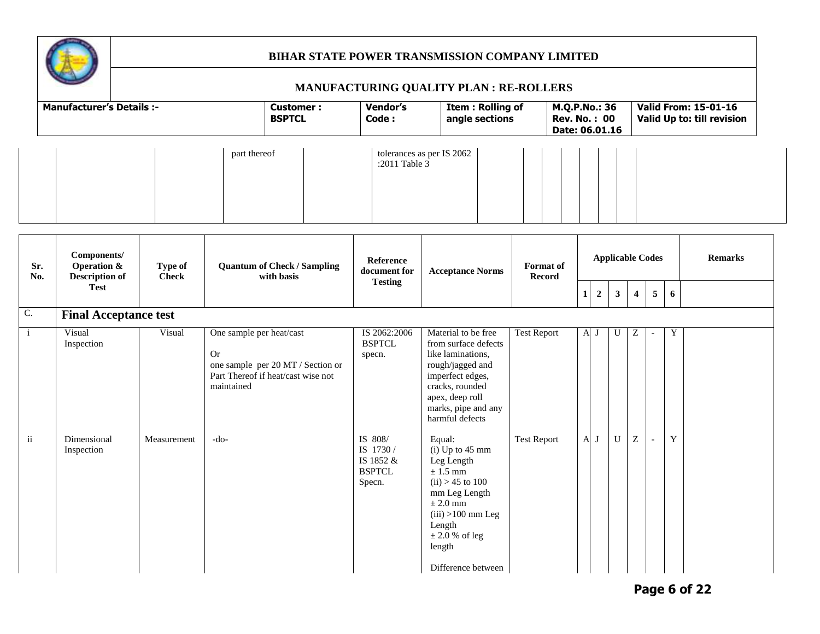

|            | <b>Manufacturer's Details :-</b>                               |                         |                          | <b>Customer:</b><br><b>BSPTCL</b>                                       | Vendor's<br>Code:                                           | Item: Rolling of<br>angle sections                                                                                                                                                 |                    | M.Q.P.No.: 36<br><b>Rev. No.: 00</b><br>Date: 06.01.16 |              |             |                |                               |                          |                  | <b>Valid From: 15-01-16</b><br>Valid Up to: till revision |
|------------|----------------------------------------------------------------|-------------------------|--------------------------|-------------------------------------------------------------------------|-------------------------------------------------------------|------------------------------------------------------------------------------------------------------------------------------------------------------------------------------------|--------------------|--------------------------------------------------------|--------------|-------------|----------------|-------------------------------|--------------------------|------------------|-----------------------------------------------------------|
|            |                                                                |                         | part thereof             |                                                                         | :2011 Table 3                                               | tolerances as per IS 2062                                                                                                                                                          |                    |                                                        |              |             |                |                               |                          |                  |                                                           |
| Sr.<br>No. | Components/<br><b>Operation &amp;</b><br><b>Description of</b> | Type of<br><b>Check</b> |                          | <b>Quantum of Check / Sampling</b><br>with basis                        | Reference<br>document for<br><b>Testing</b>                 | <b>Acceptance Norms</b>                                                                                                                                                            |                    | <b>Format</b> of<br><b>Record</b>                      |              |             |                |                               | <b>Applicable Codes</b>  |                  | <b>Remarks</b>                                            |
|            | <b>Test</b>                                                    |                         |                          |                                                                         |                                                             |                                                                                                                                                                                    |                    |                                                        | $1\vert$     | $\mathbf 2$ | 3 <sup>1</sup> | $\overline{\mathbf{4}}$       | $\overline{\mathbf{5}}$  | $\boldsymbol{6}$ |                                                           |
|            | <b>Final Acceptance test</b><br>Visual                         | Visual                  | One sample per heat/cast |                                                                         | IS 2062:2006                                                | Material to be free                                                                                                                                                                | <b>Test Report</b> |                                                        | $\mathbf{A}$ | J           | U              | Ζ                             |                          | Y                |                                                           |
|            | Inspection                                                     |                         | <b>Or</b><br>maintained  | one sample per 20 MT / Section or<br>Part Thereof if heat/cast wise not | <b>BSPTCL</b><br>specn.                                     | from surface defects<br>like laminations,<br>rough/jagged and<br>imperfect edges,<br>cracks, rounded<br>apex, deep roll<br>marks, pipe and any<br>harmful defects                  |                    |                                                        |              |             |                |                               |                          |                  |                                                           |
|            | Dimensional<br>Inspection                                      | Measurement             | $-do-$                   |                                                                         | IS 808/<br>IS 1730/<br>IS 1852 &<br><b>BSPTCL</b><br>Specn. | Equal:<br>$(i)$ Up to 45 mm<br>Leg Length<br>$\pm$ 1.5 mm<br>$(ii) > 45$ to 100<br>mm Leg Length<br>$\pm 2.0$ mm<br>$(iii) > 100$ mm Leg<br>Length<br>$\pm 2.0$ % of leg<br>length | <b>Test Report</b> |                                                        | $\mathbf{A}$ | J           | U              | $\ensuremath{\textnormal{Z}}$ | $\overline{\phantom{a}}$ | $\mathbf Y$      |                                                           |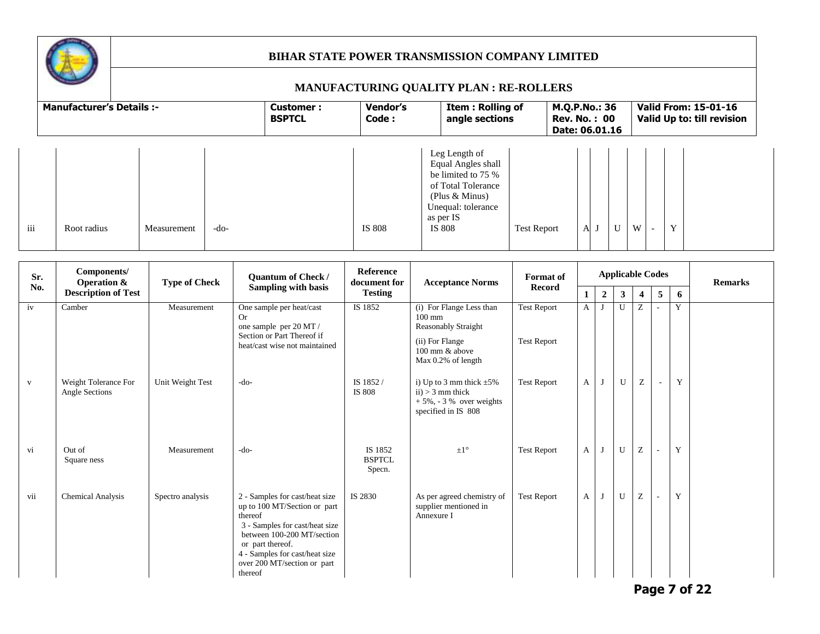

|     | <b>Manufacturer's Details :-</b> |             |      | <b>Customer:</b><br><b>BSPTCL</b> | Vendor's<br>Code: | Item: Rolling of<br>angle sections                                                                                                                |                    | M.Q.P.No.: 36<br><b>Rev. No.: 00</b><br>Date: 06.01.16 |              |   | <b>Valid From: 15-01-16</b><br>Valid Up to: till revision |   |  |  |  |
|-----|----------------------------------|-------------|------|-----------------------------------|-------------------|---------------------------------------------------------------------------------------------------------------------------------------------------|--------------------|--------------------------------------------------------|--------------|---|-----------------------------------------------------------|---|--|--|--|
| iii | Root radius                      | Measurement | -do- |                                   | IS 808            | Leg Length of<br>Equal Angles shall<br>be limited to 75 %<br>of Total Tolerance<br>(Plus $& Minus$ )<br>Unequal: tolerance<br>as per IS<br>IS 808 | <b>Test Report</b> | A                                                      | $\mathbf{U}$ | W |                                                           | Y |  |  |  |

| Sr.<br>No.   | Components/<br><b>Operation &amp;</b>  | <b>Type of Check</b> | Quantum of Check /                                                                                                                                                                                                                        | <b>Reference</b><br>document for   | <b>Acceptance Norms</b>                                                                                                               | <b>Format</b> of                         |              |                |              |                           | <b>Applicable Codes</b>  |   | <b>Remarks</b> |
|--------------|----------------------------------------|----------------------|-------------------------------------------------------------------------------------------------------------------------------------------------------------------------------------------------------------------------------------------|------------------------------------|---------------------------------------------------------------------------------------------------------------------------------------|------------------------------------------|--------------|----------------|--------------|---------------------------|--------------------------|---|----------------|
|              | <b>Description of Test</b>             |                      | Sampling with basis                                                                                                                                                                                                                       | <b>Testing</b>                     |                                                                                                                                       | <b>Record</b>                            | 1            | $\overline{2}$ | $\mathbf{3}$ | $\overline{\mathbf{4}}$   | 5                        | 6 |                |
| iv           | Camber                                 | Measurement          | One sample per heat/cast<br>Or.<br>one sample per 20 MT /<br>Section or Part Thereof if<br>heat/cast wise not maintained                                                                                                                  | IS 1852                            | (i) For Flange Less than<br>$100 \text{ mm}$<br><b>Reasonably Straight</b><br>(ii) For Flange<br>100 mm & above<br>Max 0.2% of length | <b>Test Report</b><br><b>Test Report</b> | $\mathbf{A}$ | J              | $\mathbf{U}$ | Z                         |                          | Y |                |
| $\mathbf{V}$ | Weight Tolerance For<br>Angle Sections | Unit Weight Test     | $-do-$                                                                                                                                                                                                                                    | IS 1852/<br>IS 808                 | i) Up to 3 mm thick $\pm 5\%$<br>$ii) > 3$ mm thick<br>$+5\%$ , - 3 % over weights<br>specified in IS 808                             | <b>Test Report</b>                       | $\mathbf{A}$ | J              | U            | $\ensuremath{\mathbf{Z}}$ | $\overline{\phantom{a}}$ | Y |                |
| vi           | Out of<br>Square ness                  | Measurement          | $-do-$                                                                                                                                                                                                                                    | IS 1852<br><b>BSPTCL</b><br>Specn. | $\pm 1^{\circ}$                                                                                                                       | <b>Test Report</b>                       | $\mathbf{A}$ | J              | U            | Z                         |                          | Y |                |
| vii          | <b>Chemical Analysis</b>               | Spectro analysis     | 2 - Samples for cast/heat size<br>up to 100 MT/Section or part<br>thereof<br>3 - Samples for cast/heat size<br>between 100-200 MT/section<br>or part thereof.<br>4 - Samples for cast/heat size<br>over 200 MT/section or part<br>thereof | IS 2830                            | As per agreed chemistry of<br>supplier mentioned in<br>Annexure I                                                                     | <b>Test Report</b>                       | A            | J              | $\mathbf{U}$ | Z                         |                          | Y |                |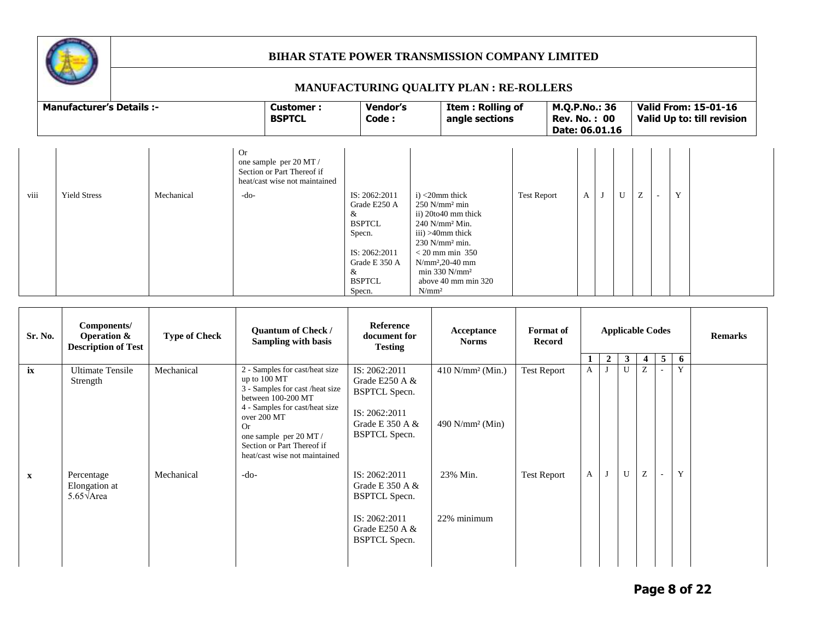

|      |                                  |            |                                                                                                              |                                                                                                                                 | <b>MANUFACTURING QUALITY PLAN: RE-ROLLERS</b>                                                                                                                                                                                                                                  |                    |                                                        |   |   |   |                                                           |
|------|----------------------------------|------------|--------------------------------------------------------------------------------------------------------------|---------------------------------------------------------------------------------------------------------------------------------|--------------------------------------------------------------------------------------------------------------------------------------------------------------------------------------------------------------------------------------------------------------------------------|--------------------|--------------------------------------------------------|---|---|---|-----------------------------------------------------------|
|      | <b>Manufacturer's Details :-</b> |            | Customer:<br><b>BSPTCL</b>                                                                                   | <b>Vendor's</b><br>Code:                                                                                                        | Item: Rolling of<br>angle sections                                                                                                                                                                                                                                             |                    | M.Q.P.No.: 36<br><b>Rev. No.: 00</b><br>Date: 06.01.16 |   |   |   | <b>Valid From: 15-01-16</b><br>Valid Up to: till revision |
| viii | <b>Yield Stress</b>              | Mechanical | <b>Or</b><br>one sample per 20 MT /<br>Section or Part Thereof if<br>heat/cast wise not maintained<br>$-do-$ | IS: 2062:2011<br>Grade E250 A<br>&<br><b>BSPTCL</b><br>Specn.<br>IS: 2062:2011<br>Grade E 350 A<br>&<br><b>BSPTCL</b><br>Specn. | $i$ $\leq$ 20mm thick<br>$250$ N/mm <sup>2</sup> min<br>ii) 20to40 mm thick<br>$240$ N/mm <sup>2</sup> Min.<br>$iii) > 40$ mm thick<br>$230$ N/mm <sup>2</sup> min.<br>$<$ 20 mm min 350<br>$N/mm^2, 20-40 mm$<br>$min 330 N/mm^2$<br>above 40 mm min 320<br>N/mm <sup>2</sup> | <b>Test Report</b> | A                                                      | U | Z | Y |                                                           |

| Sr. No.      | Components/<br>Operation $\&$<br><b>Description of Test</b> | <b>Type of Check</b> | <b>Quantum of Check /</b><br>Sampling with basis                                                                                                                                                                                                        | Reference<br>document for<br><b>Testing</b>                                                                               | Acceptance<br><b>Norms</b>                                      | <b>Format of</b><br>Record |   |                |              | <b>Applicable Codes</b> |   |   | <b>Remarks</b> |
|--------------|-------------------------------------------------------------|----------------------|---------------------------------------------------------------------------------------------------------------------------------------------------------------------------------------------------------------------------------------------------------|---------------------------------------------------------------------------------------------------------------------------|-----------------------------------------------------------------|----------------------------|---|----------------|--------------|-------------------------|---|---|----------------|
|              |                                                             |                      |                                                                                                                                                                                                                                                         |                                                                                                                           |                                                                 |                            |   | $\overline{2}$ | $\mathbf{3}$ | $\overline{4}$          | 5 | 6 |                |
| ix           | <b>Ultimate Tensile</b><br>Strength                         | Mechanical           | 2 - Samples for cast/heat size<br>up to 100 MT<br>3 - Samples for cast /heat size<br>between 100-200 MT<br>4 - Samples for cast/heat size<br>over 200 MT<br>Or<br>one sample per 20 MT /<br>Section or Part Thereof if<br>heat/cast wise not maintained | IS: 2062:2011<br>Grade E250 A $\&$<br><b>BSPTCL Specn.</b><br>IS: 2062:2011<br>Grade E 350 A $\&$<br><b>BSPTCL Specn.</b> | $410$ N/mm <sup>2</sup> (Min.)<br>$490$ N/mm <sup>2</sup> (Min) | <b>Test Report</b>         | A |                | U            | Z                       |   | Y |                |
| $\mathbf{X}$ | Percentage<br>Elongation at<br>$5.65\sqrt{\text{Area}}$     | Mechanical           | $-do-$                                                                                                                                                                                                                                                  | IS: 2062:2011<br>Grade E 350 A $\&$<br><b>BSPTCL Specn.</b><br>IS: 2062:2011<br>Grade E250 A $\&$<br><b>BSPTCL Specn.</b> | 23% Min.<br>22% minimum                                         | <b>Test Report</b>         | A |                | U            | Z                       |   | Y |                |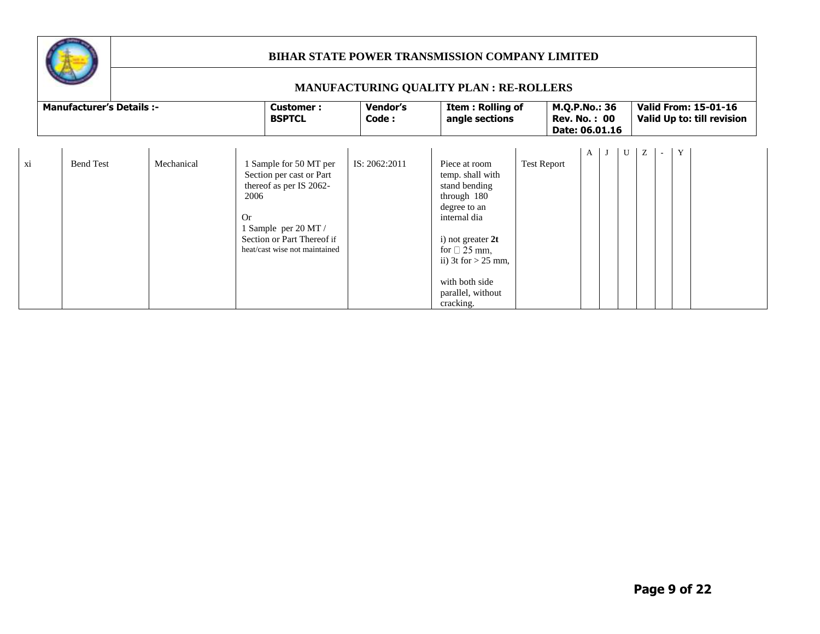

|    |                                  |            |                   |                                                                                                                                                                      |                   | MANUFACTURING QUALITY PLAN : RE-ROLLERS                                                                                                                                                                                      |                    |                                                        |   |  |                                                           |
|----|----------------------------------|------------|-------------------|----------------------------------------------------------------------------------------------------------------------------------------------------------------------|-------------------|------------------------------------------------------------------------------------------------------------------------------------------------------------------------------------------------------------------------------|--------------------|--------------------------------------------------------|---|--|-----------------------------------------------------------|
|    | <b>Manufacturer's Details :-</b> |            |                   | <b>Customer:</b><br><b>BSPTCL</b>                                                                                                                                    | Vendor's<br>Code: | <b>Item: Rolling of</b><br>angle sections                                                                                                                                                                                    |                    | M.Q.P.No.: 36<br><b>Rev. No.: 00</b><br>Date: 06.01.16 |   |  | <b>Valid From: 15-01-16</b><br>Valid Up to: till revision |
| хi | <b>Bend Test</b>                 | Mechanical | 2006<br><b>Or</b> | 1 Sample for 50 MT per<br>Section per cast or Part<br>thereof as per IS 2062-<br>1 Sample per 20 MT /<br>Section or Part Thereof if<br>heat/cast wise not maintained | IS: 2062:2011     | Piece at room<br>temp. shall with<br>stand bending<br>through 180<br>degree to an<br>internal dia<br>i) not greater $2t$<br>for $\Box$ 25 mm.<br>ii) $3t$ for $> 25$ mm,<br>with both side<br>parallel, without<br>cracking. | <b>Test Report</b> | A                                                      | U |  |                                                           |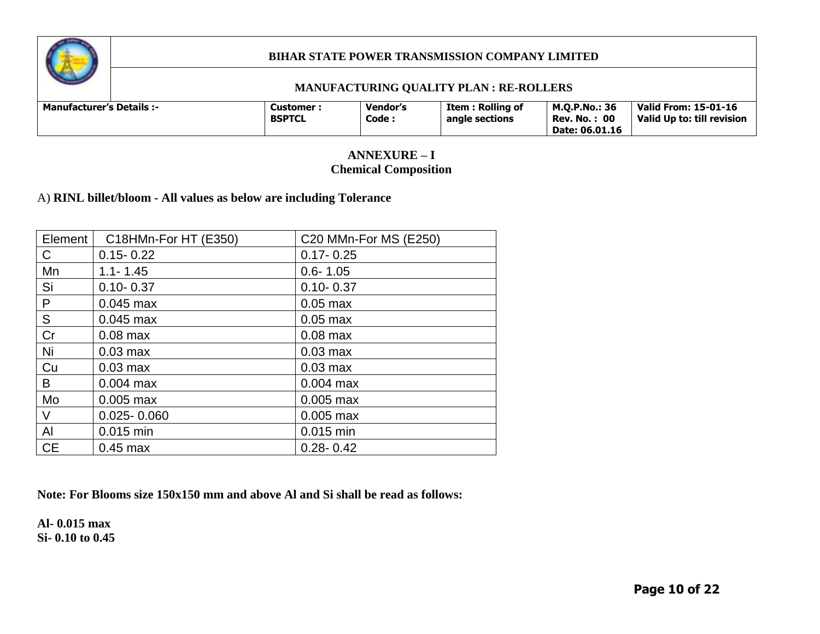

#### **MANUFACTURING QUALITY PLAN : RE-ROLLERS**

## **ANNEXURE – I Chemical Composition**

### A) **RINL billet/bloom - All values as below are including Tolerance**

| Element   | C18HMn-For HT (E350) | C20 MMn-For MS (E250) |
|-----------|----------------------|-----------------------|
| C         | $0.15 - 0.22$        | $0.17 - 0.25$         |
| Mn        | $1.1 - 1.45$         | $0.6 - 1.05$          |
| Si        | $0.10 - 0.37$        | $0.10 - 0.37$         |
| P         | $0.045$ max          | $0.05$ max            |
| S         | $0.045$ max          | $0.05$ max            |
| Cr        | $0.08$ max           | $0.08$ max            |
| Ni        | $0.03$ max           | $0.03$ max            |
| Cu        | $0.03$ max           | $0.03$ max            |
| B         | $0.004$ max          | $0.004$ max           |
| Mo        | $0.005$ max          | $0.005$ max           |
| V         | $0.025 - 0.060$      | $0.005$ max           |
| Al        | $0.015$ min          | 0.015 min             |
| <b>CE</b> | $0.45$ max           | $0.28 - 0.42$         |

**Note: For Blooms size 150x150 mm and above Al and Si shall be read as follows:**

**Al- 0.015 max Si- 0.10 to 0.45**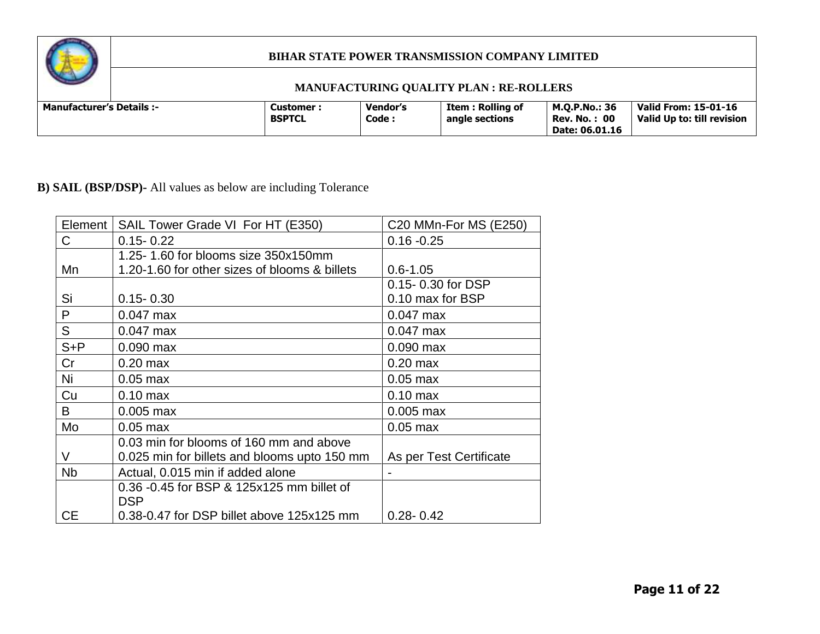

## **MANUFACTURING QUALITY PLAN : RE-ROLLERS**

# **B) SAIL (BSP/DSP)-** All values as below are including Tolerance

| Element   | SAIL Tower Grade VI For HT (E350)             | C20 MMn-For MS (E250)   |
|-----------|-----------------------------------------------|-------------------------|
| C         | $0.15 - 0.22$                                 | $0.16 - 0.25$           |
|           | 1.25-1.60 for blooms size 350x150mm           |                         |
| Mn        | 1.20-1.60 for other sizes of blooms & billets | $0.6 - 1.05$            |
|           |                                               | 0.15-0.30 for DSP       |
| Si        | $0.15 - 0.30$                                 | 0.10 max for BSP        |
| P         | $0.047$ max                                   | $0.047$ max             |
| S         | $0.047$ max                                   | $0.047$ max             |
| $S + P$   | $0.090$ max                                   | $0.090$ max             |
| Cr        | $0.20$ max                                    | $0.20$ max              |
| Ni        | $0.05$ max                                    | $0.05$ max              |
| Cu        | $0.10$ max                                    | $0.10 \text{ max}$      |
| B         | $0.005$ max                                   | $0.005$ max             |
| Mo        | $0.05$ max                                    | $0.05$ max              |
|           | 0.03 min for blooms of 160 mm and above       |                         |
| V         | 0.025 min for billets and blooms upto 150 mm  | As per Test Certificate |
| <b>Nb</b> | Actual, 0.015 min if added alone              |                         |
|           | 0.36 -0.45 for BSP & 125x125 mm billet of     |                         |
|           | <b>DSP</b>                                    |                         |
| <b>CE</b> | 0.38-0.47 for DSP billet above 125x125 mm     | $0.28 - 0.42$           |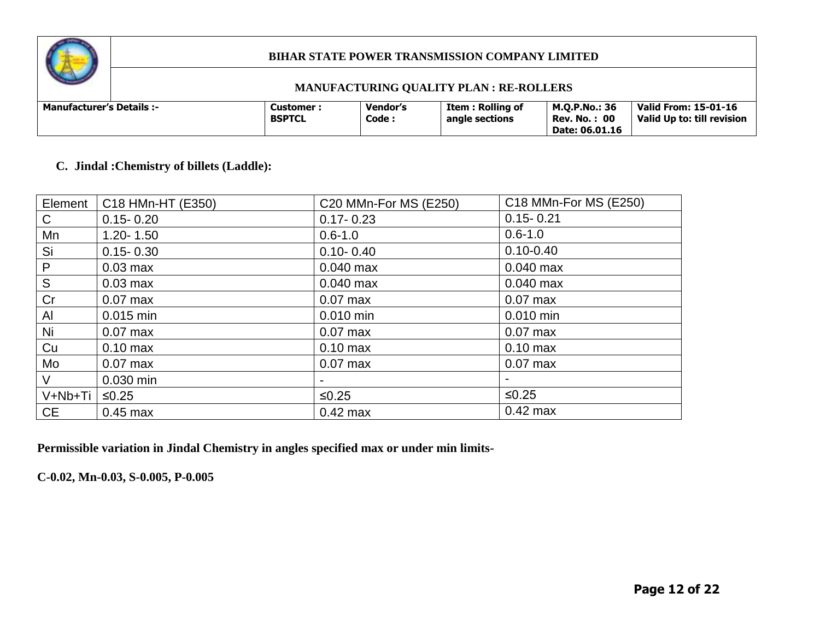

#### **MANUFACTURING QUALITY PLAN : RE-ROLLERS**

| <b>Manufacturer's Details :-</b> | <b>Customer :</b><br><b>BSPTCL</b> | <b>Vendor's</b><br>Code: | <b>Item: Rolling of</b><br>angle sections | M.O.P.No.: 36<br>: 00<br>Rev. No. :<br>Date: 06.01.16 | <b>Valid From: 15-01-16</b><br>Valid Up to: till revision |
|----------------------------------|------------------------------------|--------------------------|-------------------------------------------|-------------------------------------------------------|-----------------------------------------------------------|
|----------------------------------|------------------------------------|--------------------------|-------------------------------------------|-------------------------------------------------------|-----------------------------------------------------------|

### **C. Jindal :Chemistry of billets (Laddle):**

| Element      | C18 HMn-HT (E350)  | C20 MMn-For MS (E250) | C18 MMn-For MS (E250) |
|--------------|--------------------|-----------------------|-----------------------|
| $\mathsf{C}$ | $0.15 - 0.20$      | $0.17 - 0.23$         | $0.15 - 0.21$         |
| Mn           | $1.20 - 1.50$      | $0.6 - 1.0$           | $0.6 - 1.0$           |
| Si           | $0.15 - 0.30$      | $0.10 - 0.40$         | $0.10 - 0.40$         |
| P            | $0.03$ max         | $0.040$ max           | $0.040$ max           |
| S            | $0.03$ max         | $0.040$ max           | $0.040$ max           |
| Cr           | $0.07$ max         | $0.07$ max            | $0.07$ max            |
| Al           | 0.015 min          | $0.010$ min           | $0.010$ min           |
| Ni           | $0.07$ max         | $0.07$ max            | $0.07$ max            |
| Cu           | $0.10 \text{ max}$ | $0.10$ max            | $0.10$ max            |
| Mo           | $0.07$ max         | $0.07$ max            | $0.07$ max            |
| V            | 0.030 min          |                       |                       |
| V+Nb+Ti      | $≤0.25$            | $≤0.25$               | $≤0.25$               |
| <b>CE</b>    | $0.45$ max         | $0.42$ max            | $0.42$ max            |

**Permissible variation in Jindal Chemistry in angles specified max or under min limits-**

**C-0.02, Mn-0.03, S-0.005, P-0.005**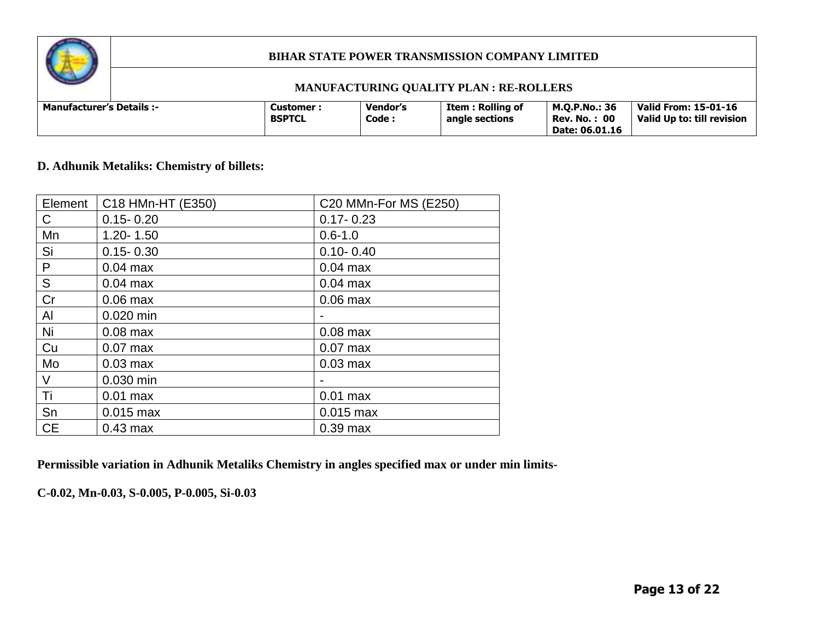

#### **MANUFACTURING QUALITY PLAN : RE-ROLLERS**

## **D. Adhunik Metaliks: Chemistry of billets:**

| Element   | C18 HMn-HT (E350) | C20 MMn-For MS (E250) |
|-----------|-------------------|-----------------------|
| С         | $0.15 - 0.20$     | $0.17 - 0.23$         |
| Mn        | $1.20 - 1.50$     | $0.6 - 1.0$           |
| Si        | $0.15 - 0.30$     | $0.10 - 0.40$         |
| P         | $0.04$ max        | $0.04$ max            |
| S         | $0.04$ max        | $0.04$ max            |
| Cr        | $0.06$ max        | $0.06$ max            |
| Al        | 0.020 min         |                       |
| Ni        | $0.08$ max        | $0.08$ max            |
| Cu        | $0.07$ max        | $0.07$ max            |
| Mo        | $0.03$ max        | $0.03$ max            |
| V         | 0.030 min         |                       |
| Ti        | $0.01$ max        | $0.01$ max            |
| Sn        | $0.015$ max       | $0.015$ max           |
| <b>CE</b> | $0.43$ max        | $0.39$ max            |

**Permissible variation in Adhunik Metaliks Chemistry in angles specified max or under min limits-**

**C-0.02, Mn-0.03, S-0.005, P-0.005, Si-0.03**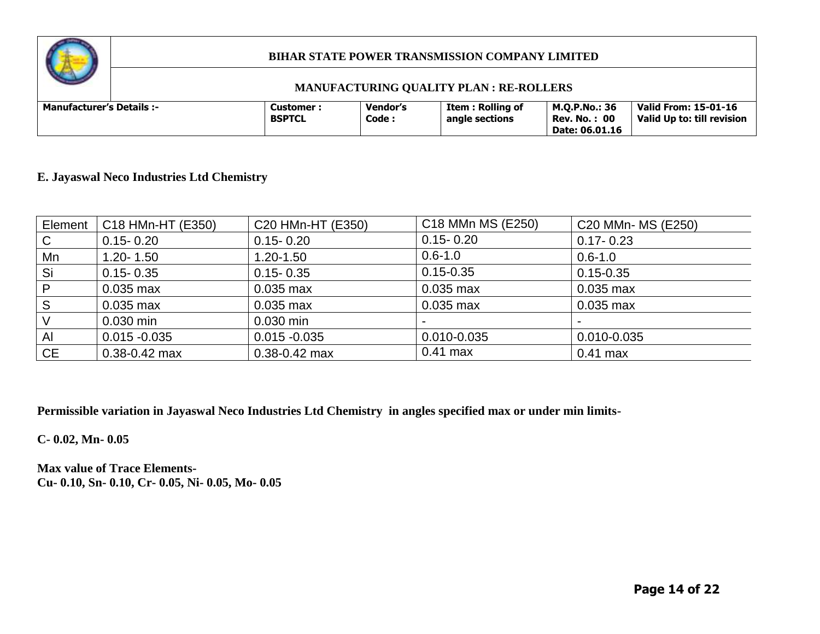

#### **MANUFACTURING QUALITY PLAN : RE-ROLLERS**

### **E. Jayaswal Neco Industries Ltd Chemistry**

| Element | C18 HMn-HT (E350) | C20 HMn-HT (E350) | C18 MMn MS (E250) | C20 MMn- MS (E250) |
|---------|-------------------|-------------------|-------------------|--------------------|
| C       | $0.15 - 0.20$     | $0.15 - 0.20$     | $0.15 - 0.20$     | $0.17 - 0.23$      |
| Mn      | $1.20 - 1.50$     | 1.20-1.50         | $0.6 - 1.0$       | $0.6 - 1.0$        |
| Si      | $0.15 - 0.35$     | $0.15 - 0.35$     | $0.15 - 0.35$     | $0.15 - 0.35$      |
| P       | $0.035$ max       | $0.035$ max       | 0.035 max         | $0.035$ max        |
| S       | $0.035$ max       | $0.035$ max       | $0.035$ max       | 0.035 max          |
|         | $0.030$ min       | $0.030$ min       |                   |                    |
| Al      | $0.015 - 0.035$   | $0.015 - 0.035$   | 0.010-0.035       | 0.010-0.035        |
| CE      | $0.38 - 0.42$ max | $0.38 - 0.42$ max | $0.41$ max        | $0.41$ max         |

**Permissible variation in Jayaswal Neco Industries Ltd Chemistry in angles specified max or under min limits-**

**C- 0.02, Mn- 0.05**

**Max value of Trace Elements-Cu- 0.10, Sn- 0.10, Cr- 0.05, Ni- 0.05, Mo- 0.05**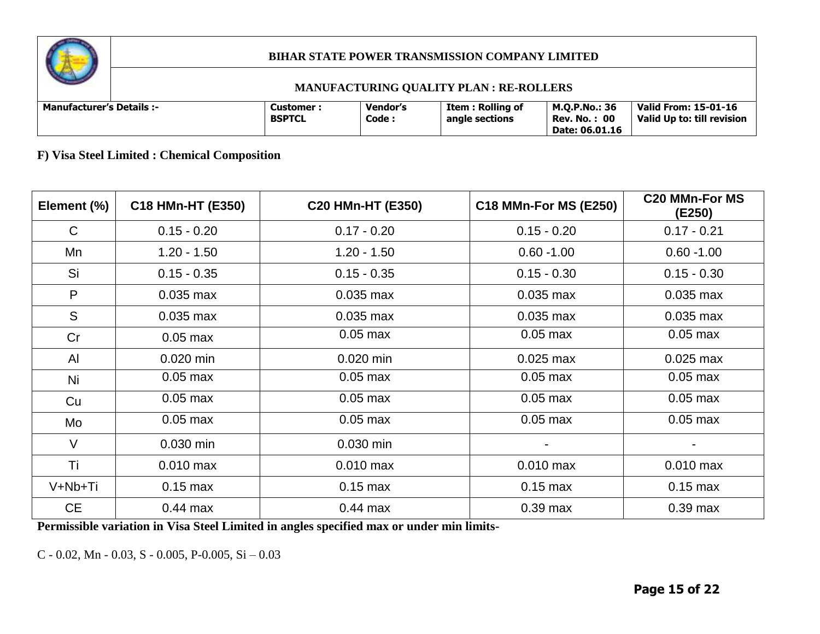

#### **MANUFACTURING QUALITY PLAN : RE-ROLLERS**

| <b>Manufacturer's Details :-</b> |  | Customer :<br><b>BSPTCL</b> | Vendor's<br>Code : | Item : Rolling of<br>angle sections | <b>M.O.P.No.: 36</b><br><b>Rev. No.: 00</b><br>Date: 06.01.16 | Valid From: 15-01-16<br>Valid Up to: till revision |
|----------------------------------|--|-----------------------------|--------------------|-------------------------------------|---------------------------------------------------------------|----------------------------------------------------|
|----------------------------------|--|-----------------------------|--------------------|-------------------------------------|---------------------------------------------------------------|----------------------------------------------------|

**F) Visa Steel Limited : Chemical Composition** 

| Element (%) | C18 HMn-HT (E350) | <b>C20 HMn-HT (E350)</b> | <b>C18 MMn-For MS (E250)</b> | <b>C20 MMn-For MS</b><br>(E250) |
|-------------|-------------------|--------------------------|------------------------------|---------------------------------|
| $\mathsf C$ | $0.15 - 0.20$     | $0.17 - 0.20$            | $0.15 - 0.20$                | $0.17 - 0.21$                   |
| Mn          | $1.20 - 1.50$     | $1.20 - 1.50$            | $0.60 - 1.00$                | $0.60 - 1.00$                   |
| Si          | $0.15 - 0.35$     | $0.15 - 0.35$            | $0.15 - 0.30$                | $0.15 - 0.30$                   |
| P           | $0.035$ max       | $0.035$ max              | $0.035$ max                  | $0.035$ max                     |
| S           | $0.035$ max       | $0.035$ max              | $0.035$ max                  | $0.035$ max                     |
| Cr          | $0.05$ max        | $0.05$ max               | $0.05$ max                   | $0.05$ max                      |
| AI          | $0.020$ min       | $0.020$ min              | $0.025$ max                  | $0.025$ max                     |
| Ni          | $0.05$ max        | $0.05$ max               | $0.05$ max                   | $0.05$ max                      |
| Cu          | $0.05$ max        | $0.05$ max               | $0.05$ max                   | $0.05$ max                      |
| Mo          | $0.05$ max        | $0.05$ max               | $0.05$ max                   | $0.05$ max                      |
| $\vee$      | 0.030 min         | 0.030 min                | $\blacksquare$               |                                 |
| Ti          | $0.010$ max       | $0.010$ max              | $0.010$ max                  | $0.010$ max                     |
| V+Nb+Ti     | $0.15$ max        | $0.15$ max               | $0.15$ max                   | $0.15$ max                      |
| <b>CE</b>   | $0.44$ max        | $0.44$ max               | $0.39$ max                   | $0.39$ max                      |

**Permissible variation in Visa Steel Limited in angles specified max or under min limits-**

C - 0.02, Mn - 0.03, S - 0.005, P-0.005, Si – 0.03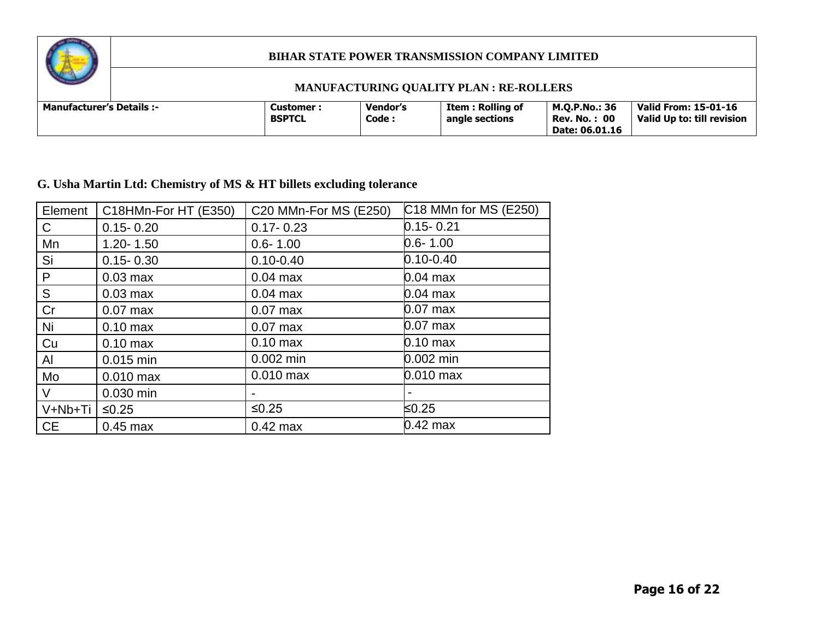

#### **MANUFACTURING QUALITY PLAN : RE-ROLLERS**

| <b>Manufacturer's Details :-</b> |  | Customer<br><b>BSPTCL</b> | <b>Vendor's</b><br>Code: | Item : Rolling of<br>angle sections | M.O.P.No.: 36<br><b>Rev. No.: 00</b><br>Date: 06.01.16 | Valid From: 15-01-16<br>Valid Up to: till revision |
|----------------------------------|--|---------------------------|--------------------------|-------------------------------------|--------------------------------------------------------|----------------------------------------------------|
|----------------------------------|--|---------------------------|--------------------------|-------------------------------------|--------------------------------------------------------|----------------------------------------------------|

# **G. Usha Martin Ltd: Chemistry of MS & HT billets excluding tolerance**

| Element      | C18HMn-For HT (E350) | C20 MMn-For MS (E250) | C18 MMn for MS (E250) |
|--------------|----------------------|-----------------------|-----------------------|
| $\mathsf{C}$ | $0.15 - 0.20$        | $0.17 - 0.23$         | $0.15 - 0.21$         |
| Mn           | $1.20 - 1.50$        | $0.6 - 1.00$          | $0.6 - 1.00$          |
| Si           | $0.15 - 0.30$        | $0.10 - 0.40$         | $0.10 - 0.40$         |
| P            | $0.03$ max           | $0.04$ max            | 0.04 max              |
| S            | $0.03$ max           | $0.04$ max            | $0.04$ max            |
| Cr           | $0.07$ max           | $0.07$ max            | $0.07$ max            |
| Ni           | $0.10$ max           | $0.07$ max            | $0.07$ max            |
| Cu           | $0.10$ max           | $0.10 \text{ max}$    | $0.10 \text{ max}$    |
| AI           | 0.015 min            | $0.002$ min           | 0.002 min             |
| Mo           | $0.010$ max          | $0.010$ max           | $0.010$ max           |
| $\vee$       | 0.030 min            |                       |                       |
| V+Nb+Ti      | $≤0.25$              | $≤0.25$               | ≤0.25                 |
| <b>CE</b>    | $0.45$ max           | $0.42$ max            | $0.42$ max            |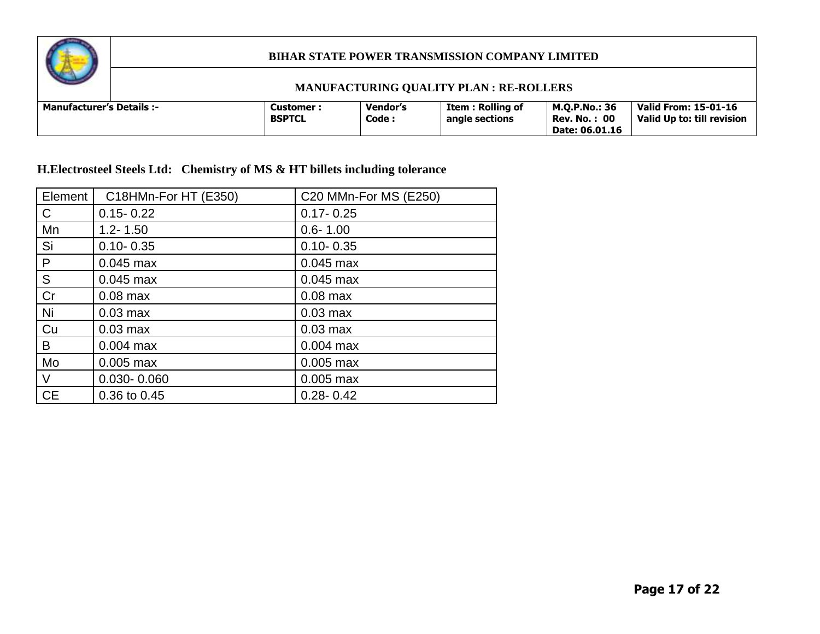

#### **MANUFACTURING QUALITY PLAN : RE-ROLLERS**

| <b>Manufacturer's Details :-</b> |  | Customer :<br><b>BSPTCL</b> | Vendor's<br>Code: | <b>Item: Rolling of</b><br>angle sections | M.O.P.No.: 36<br>00<br>Rev. No. :<br>Date: 06.01.16 | Valid From: 15-01-16<br>Valid Up to: till revision |
|----------------------------------|--|-----------------------------|-------------------|-------------------------------------------|-----------------------------------------------------|----------------------------------------------------|
|----------------------------------|--|-----------------------------|-------------------|-------------------------------------------|-----------------------------------------------------|----------------------------------------------------|

**H.Electrosteel Steels Ltd: Chemistry of MS & HT billets including tolerance** 

| Element      | C18HMn-For HT (E350) | C20 MMn-For MS (E250) |
|--------------|----------------------|-----------------------|
| $\mathsf{C}$ | $0.15 - 0.22$        | $0.17 - 0.25$         |
| Mn           | $1.2 - 1.50$         | $0.6 - 1.00$          |
| Si           | $0.10 - 0.35$        | $0.10 - 0.35$         |
| P            | $0.045$ max          | $0.045$ max           |
| ${\sf S}$    | $0.045$ max          | $0.045$ max           |
| Cr           | $0.08$ max           | $0.08$ max            |
| Ni           | $0.03$ max           | $0.03$ max            |
| Cu           | $0.03$ max           | $0.03$ max            |
| B            | $0.004$ max          | $0.004$ max           |
| Mo           | $0.005$ max          | $0.005$ max           |
| $\vee$       | $0.030 - 0.060$      | $0.005$ max           |
| <b>CE</b>    | 0.36 to 0.45         | $0.28 - 0.42$         |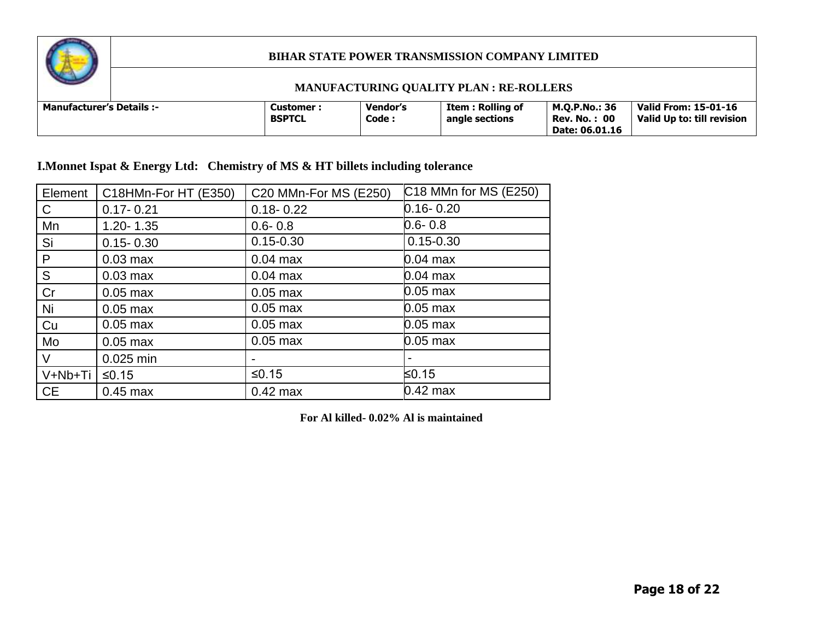

### **MANUFACTURING QUALITY PLAN : RE-ROLLERS**

| <b>Manufacturer's Details :-</b> | Customer<br><b>BSPTCL</b> | <b>Vendor's</b><br>Code : | Item : Rolling of<br>angle sections | M.O.P.No.: 36<br>- 00<br>Rev. No.<br>Date: 06.01.16 | <b>Valid From: 15-01-16</b><br>Valid Up to: till revision |
|----------------------------------|---------------------------|---------------------------|-------------------------------------|-----------------------------------------------------|-----------------------------------------------------------|
|----------------------------------|---------------------------|---------------------------|-------------------------------------|-----------------------------------------------------|-----------------------------------------------------------|

**I.Monnet Ispat & Energy Ltd: Chemistry of MS & HT billets including tolerance** 

| Element      | C18HMn-For HT (E350) | C20 MMn-For MS (E250) | C18 MMn for MS (E250) |
|--------------|----------------------|-----------------------|-----------------------|
| $\mathsf{C}$ | $0.17 - 0.21$        | $0.18 - 0.22$         | $0.16 - 0.20$         |
| Mn           | $1.20 - 1.35$        | $0.6 - 0.8$           | $0.6 - 0.8$           |
| Si           | $0.15 - 0.30$        | $0.15 - 0.30$         | $0.15 - 0.30$         |
| P            | $0.03$ max           | $0.04$ max            | $0.04$ max            |
| S            | $0.03$ max           | $0.04$ max            | $0.04$ max            |
| Cr           | $0.05$ max           | $0.05$ max            | $0.05$ max            |
| Ni           | $0.05$ max           | $0.05$ max            | $0.05$ max            |
| Cu           | $0.05$ max           | $0.05$ max            | $0.05$ max            |
| Mo           | $0.05$ max           | $0.05$ max            | $0.05$ max            |
| $\vee$       | 0.025 min            |                       |                       |
| V+Nb+Ti      | $≤0.15$              | $≤0.15$               | ≤0.15                 |
| <b>CE</b>    | $0.45$ max           | $0.42$ max            | $0.42$ max            |

**For Al killed- 0.02% Al is maintained**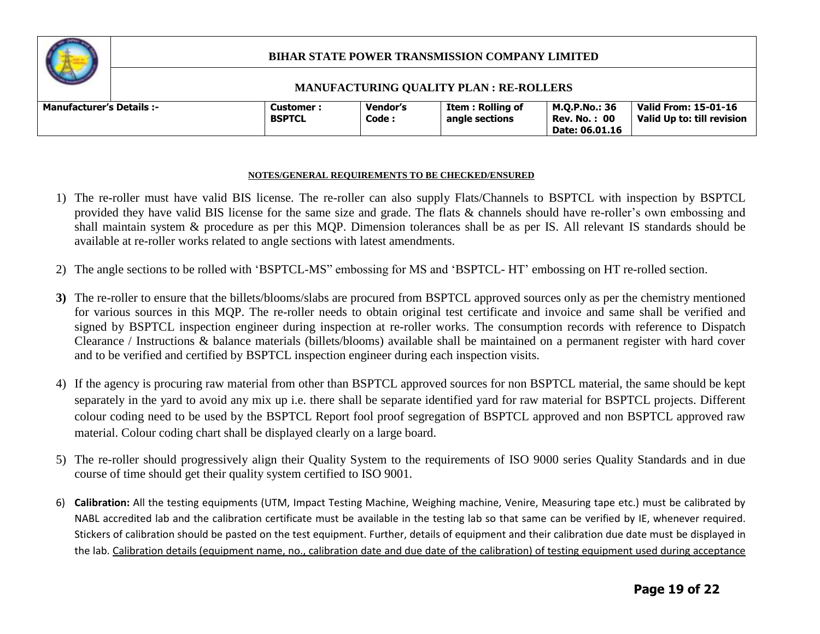

#### **MANUFACTURING QUALITY PLAN : RE-ROLLERS**

| <b>Manufacturer's Details :-</b> |  | <b>Customer:</b><br><b>BSPTCL</b> | Vendor's<br>Code: | <b>Item: Rolling of</b><br>angle sections | <b>M.O.P.No.: 36</b><br>- 00<br>Rev. No.<br>Date: 06.01.16 | Valid From: 15-01-16<br>Valid Up to: till revision |
|----------------------------------|--|-----------------------------------|-------------------|-------------------------------------------|------------------------------------------------------------|----------------------------------------------------|
|----------------------------------|--|-----------------------------------|-------------------|-------------------------------------------|------------------------------------------------------------|----------------------------------------------------|

#### **NOTES/GENERAL REQUIREMENTS TO BE CHECKED/ENSURED**

- 1) The re-roller must have valid BIS license. The re-roller can also supply Flats/Channels to BSPTCL with inspection by BSPTCL provided they have valid BIS license for the same size and grade. The flats & channels should have re-roller's own embossing and shall maintain system & procedure as per this MQP. Dimension tolerances shall be as per IS. All relevant IS standards should be available at re-roller works related to angle sections with latest amendments.
- 2) The angle sections to be rolled with 'BSPTCL-MS" embossing for MS and 'BSPTCL- HT' embossing on HT re-rolled section.
- **3)** The re-roller to ensure that the billets/blooms/slabs are procured from BSPTCL approved sources only as per the chemistry mentioned for various sources in this MQP. The re-roller needs to obtain original test certificate and invoice and same shall be verified and signed by BSPTCL inspection engineer during inspection at re-roller works. The consumption records with reference to Dispatch Clearance / Instructions & balance materials (billets/blooms) available shall be maintained on a permanent register with hard cover and to be verified and certified by BSPTCL inspection engineer during each inspection visits.
- 4) If the agency is procuring raw material from other than BSPTCL approved sources for non BSPTCL material, the same should be kept separately in the yard to avoid any mix up i.e. there shall be separate identified yard for raw material for BSPTCL projects. Different colour coding need to be used by the BSPTCL Report fool proof segregation of BSPTCL approved and non BSPTCL approved raw material. Colour coding chart shall be displayed clearly on a large board.
- 5) The re-roller should progressively align their Quality System to the requirements of ISO 9000 series Quality Standards and in due course of time should get their quality system certified to ISO 9001.
- 6) **Calibration:** All the testing equipments (UTM, Impact Testing Machine, Weighing machine, Venire, Measuring tape etc.) must be calibrated by NABL accredited lab and the calibration certificate must be available in the testing lab so that same can be verified by IE, whenever required. Stickers of calibration should be pasted on the test equipment. Further, details of equipment and their calibration due date must be displayed in the lab. Calibration details (equipment name, no., calibration date and due date of the calibration) of testing equipment used during acceptance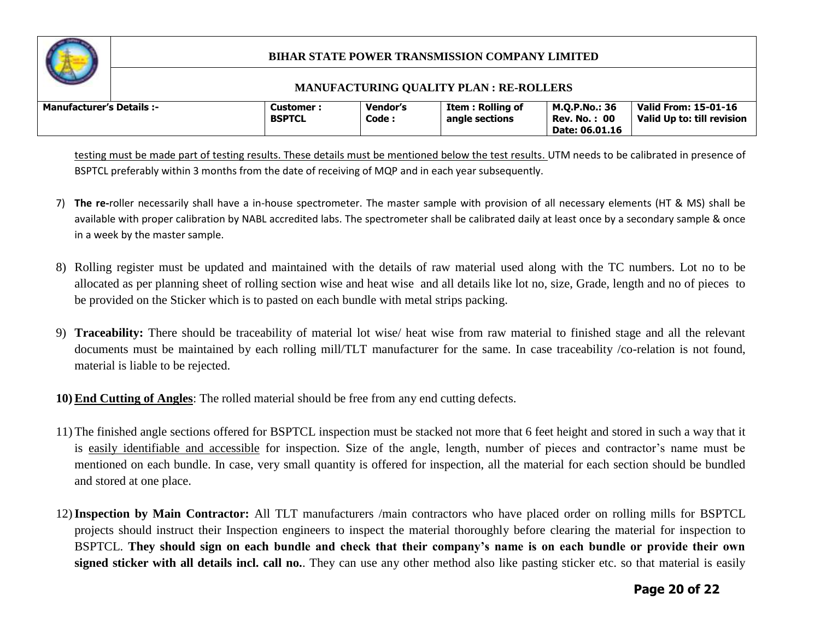

#### **MANUFACTURING QUALITY PLAN : RE-ROLLERS**

| <b>Manufacturer's Details :-</b> |  | Customer<br><b>BSPTCL</b> | Vendor's<br>Code : | Item : Rolling of<br>angle sections | M.O.P.No.: 36<br>: 00<br>Rev. No.<br>Date: 06.01.16 | <b>Valid From: 15-01-16</b><br>Valid Up to: till revision |
|----------------------------------|--|---------------------------|--------------------|-------------------------------------|-----------------------------------------------------|-----------------------------------------------------------|
|----------------------------------|--|---------------------------|--------------------|-------------------------------------|-----------------------------------------------------|-----------------------------------------------------------|

testing must be made part of testing results. These details must be mentioned below the test results. UTM needs to be calibrated in presence of BSPTCL preferably within 3 months from the date of receiving of MQP and in each year subsequently.

- 7) **The re-**roller necessarily shall have a in-house spectrometer. The master sample with provision of all necessary elements (HT & MS) shall be available with proper calibration by NABL accredited labs. The spectrometer shall be calibrated daily at least once by a secondary sample & once in a week by the master sample.
- 8) Rolling register must be updated and maintained with the details of raw material used along with the TC numbers. Lot no to be allocated as per planning sheet of rolling section wise and heat wise and all details like lot no, size, Grade, length and no of pieces to be provided on the Sticker which is to pasted on each bundle with metal strips packing.
- 9) **Traceability:** There should be traceability of material lot wise/ heat wise from raw material to finished stage and all the relevant documents must be maintained by each rolling mill/TLT manufacturer for the same. In case traceability /co-relation is not found, material is liable to be rejected.

**10) End Cutting of Angles**: The rolled material should be free from any end cutting defects.

- 11) The finished angle sections offered for BSPTCL inspection must be stacked not more that 6 feet height and stored in such a way that it is easily identifiable and accessible for inspection. Size of the angle, length, number of pieces and contractor's name must be mentioned on each bundle. In case, very small quantity is offered for inspection, all the material for each section should be bundled and stored at one place.
- 12)**Inspection by Main Contractor:** All TLT manufacturers /main contractors who have placed order on rolling mills for BSPTCL projects should instruct their Inspection engineers to inspect the material thoroughly before clearing the material for inspection to BSPTCL. **They should sign on each bundle and check that their company's name is on each bundle or provide their own signed sticker with all details incl. call no.**. They can use any other method also like pasting sticker etc. so that material is easily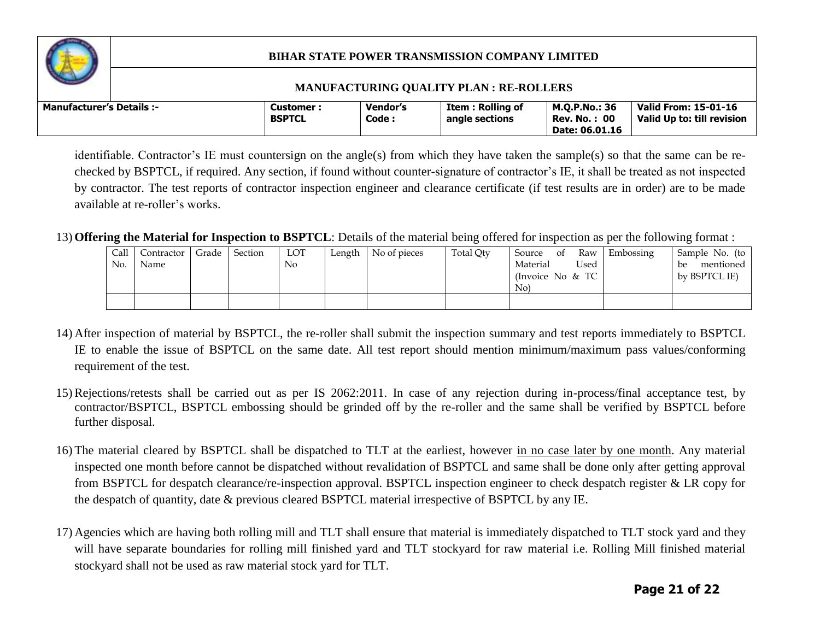

#### **MANUFACTURING QUALITY PLAN : RE-ROLLERS**

| Manufacturer's Details :- |  | Customer :<br><b>BSPTCL</b> | <b>Vendor's</b><br>Code : | Item : Rolling of<br>angle sections | M.O.P.No.: 36<br><b>Rev. No.: 00</b><br>Date: 06.01.16 | <b>Valid From: 15-01-16</b><br>Valid Up to: till revision |
|---------------------------|--|-----------------------------|---------------------------|-------------------------------------|--------------------------------------------------------|-----------------------------------------------------------|
|---------------------------|--|-----------------------------|---------------------------|-------------------------------------|--------------------------------------------------------|-----------------------------------------------------------|

identifiable. Contractor's IE must countersign on the angle(s) from which they have taken the sample(s) so that the same can be rechecked by BSPTCL, if required. Any section, if found without counter-signature of contractor's IE, it shall be treated as not inspected by contractor. The test reports of contractor inspection engineer and clearance certificate (if test results are in order) are to be made available at re-roller's works.

#### 13) **Offering the Material for Inspection to BSPTCL**: Details of the material being offered for inspection as per the following format :

| Call<br>No. | Contractor  <br>Name | Grade | Section | LOT<br>$\overline{N}$ | Length | No of pieces | Total Qty | Raw<br>Source<br>0t<br>Material<br>Used<br>(Invoice No $&TC$<br>No. | Embossing | Sample No. (to<br>mentioned<br>be<br>by BSPTCL IE) |
|-------------|----------------------|-------|---------|-----------------------|--------|--------------|-----------|---------------------------------------------------------------------|-----------|----------------------------------------------------|
|             |                      |       |         |                       |        |              |           |                                                                     |           |                                                    |

- 14) After inspection of material by BSPTCL, the re-roller shall submit the inspection summary and test reports immediately to BSPTCL IE to enable the issue of BSPTCL on the same date. All test report should mention minimum/maximum pass values/conforming requirement of the test.
- 15) Rejections/retests shall be carried out as per IS 2062:2011. In case of any rejection during in-process/final acceptance test, by contractor/BSPTCL, BSPTCL embossing should be grinded off by the re-roller and the same shall be verified by BSPTCL before further disposal.
- 16) The material cleared by BSPTCL shall be dispatched to TLT at the earliest, however in no case later by one month. Any material inspected one month before cannot be dispatched without revalidation of BSPTCL and same shall be done only after getting approval from BSPTCL for despatch clearance/re-inspection approval. BSPTCL inspection engineer to check despatch register & LR copy for the despatch of quantity, date & previous cleared BSPTCL material irrespective of BSPTCL by any IE.
- 17) Agencies which are having both rolling mill and TLT shall ensure that material is immediately dispatched to TLT stock yard and they will have separate boundaries for rolling mill finished yard and TLT stockyard for raw material i.e. Rolling Mill finished material stockyard shall not be used as raw material stock yard for TLT.